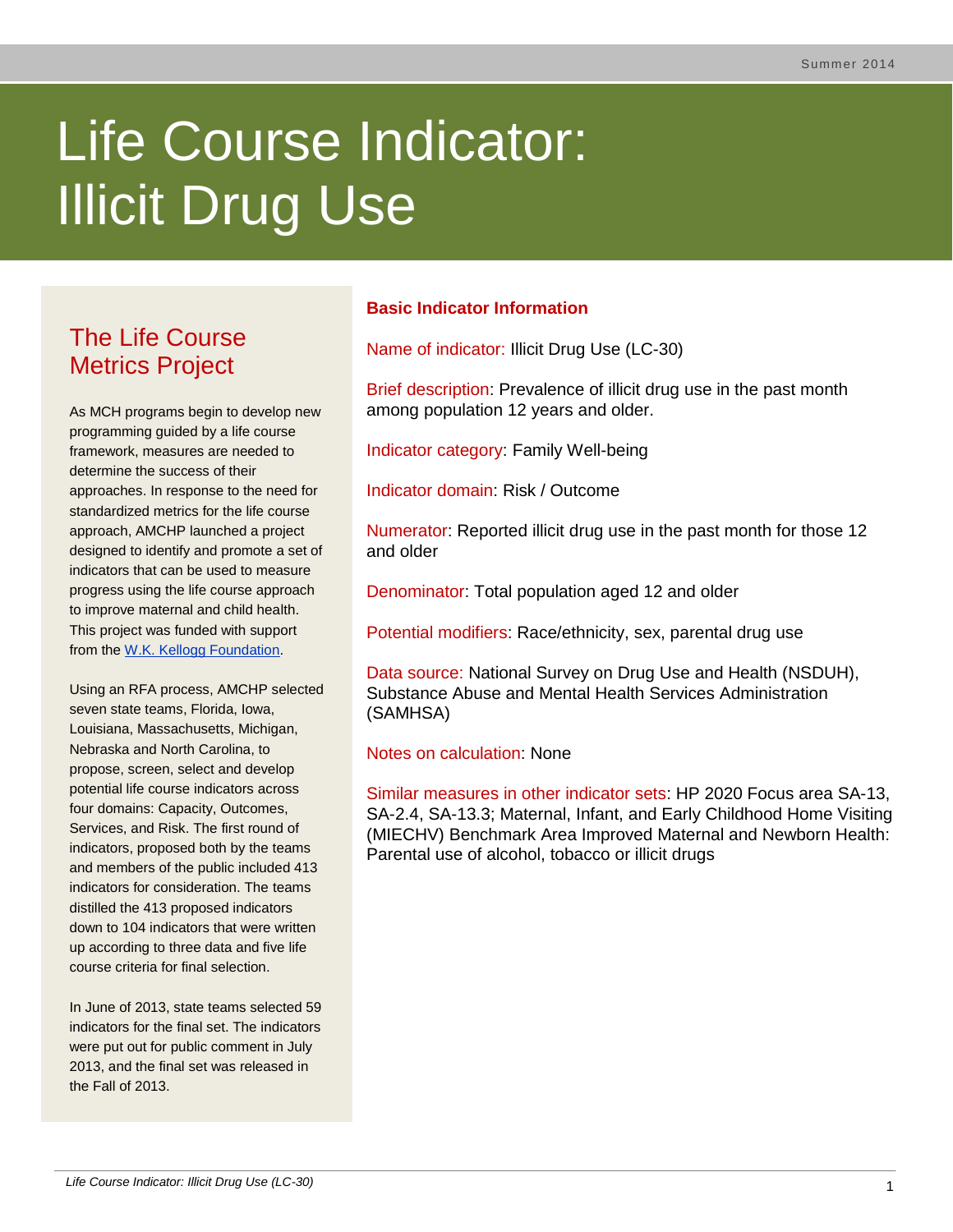# Life Course Indicator: Illicit Drug Use

# The Life Course Metrics Project

As MCH programs begin to develop new programming guided by a life course framework, measures are needed to determine the success of their approaches. In response to the need for standardized metrics for the life course approach, AMCHP launched a project designed to identify and promote a set of indicators that can be used to measure progress using the life course approach to improve maternal and child health. This project was funded with support from the [W.K. Kellogg Foundation.](http://www.wkkf.org/)

Using an RFA process, AMCHP selected seven state teams, Florida, Iowa, Louisiana, Massachusetts, Michigan, Nebraska and North Carolina, to propose, screen, select and develop potential life course indicators across four domains: Capacity, Outcomes, Services, and Risk. The first round of indicators, proposed both by the teams and members of the public included 413 indicators for consideration. The teams distilled the 413 proposed indicators down to 104 indicators that were written up according to three data and five life course criteria for final selection.

In June of 2013, state teams selected 59 indicators for the final set. The indicators were put out for public comment in July 2013, and the final set was released in the Fall of 2013.

# **Basic Indicator Information**

Name of indicator: Illicit Drug Use (LC-30)

Brief description: Prevalence of illicit drug use in the past month among population 12 years and older.

Indicator category: Family Well-being

Indicator domain: Risk / Outcome

Numerator: Reported illicit drug use in the past month for those 12 and older

Denominator: Total population aged 12 and older

Potential modifiers: Race/ethnicity, sex, parental drug use

Data source: National Survey on Drug Use and Health (NSDUH), Substance Abuse and Mental Health Services Administration (SAMHSA)

Notes on calculation: None

Similar measures in other indicator sets: HP 2020 Focus area SA-13, SA-2.4, SA-13.3; Maternal, Infant, and Early Childhood Home Visiting (MIECHV) Benchmark Area Improved Maternal and Newborn Health: Parental use of alcohol, tobacco or illicit drugs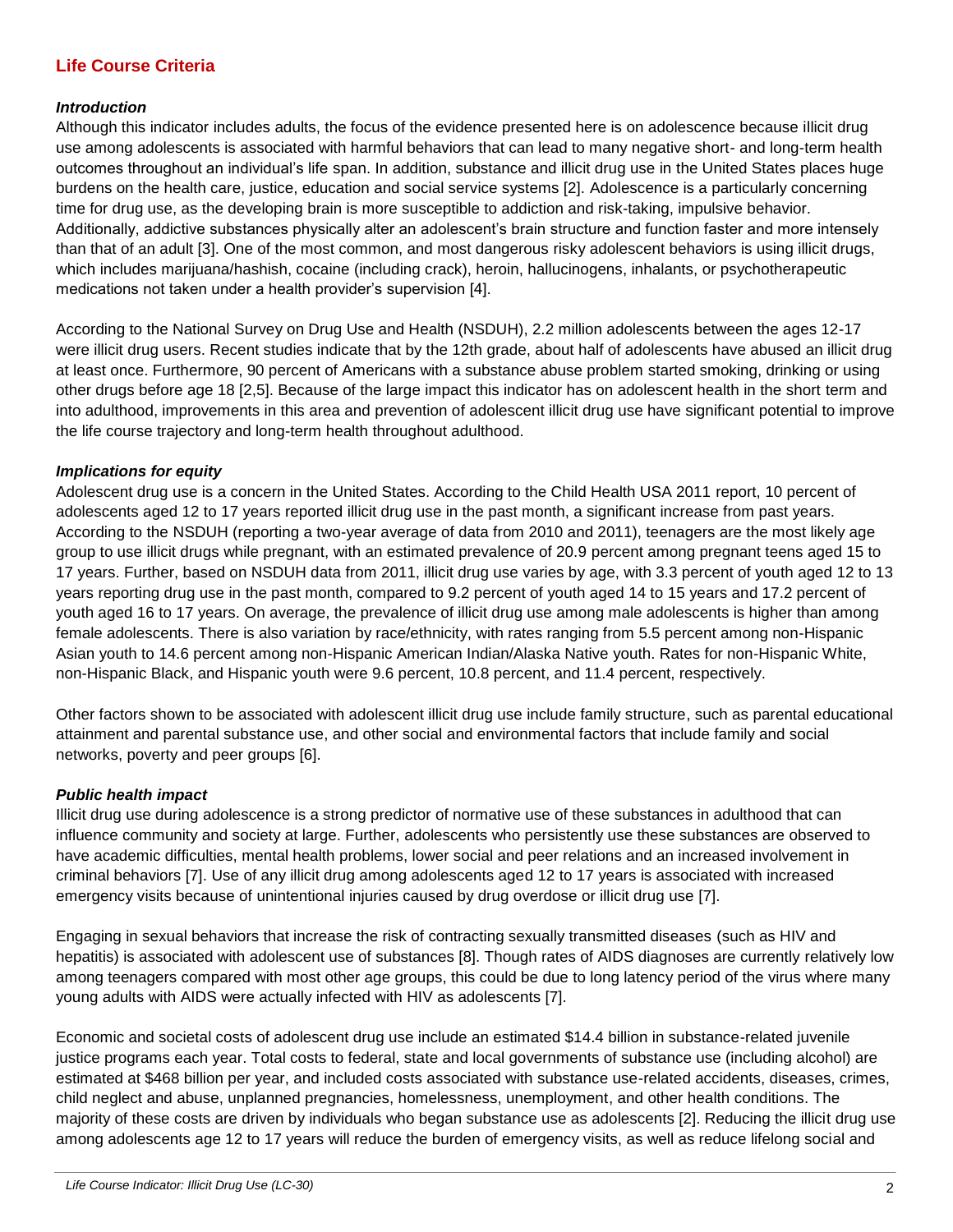# **Life Course Criteria**

#### *Introduction*

Although this indicator includes adults, the focus of the evidence presented here is on adolescence because illicit drug use among adolescents is associated with harmful behaviors that can lead to many negative short- and long-term health outcomes throughout an individual's life span. In addition, substance and illicit drug use in the United States places huge burdens on the health care, justice, education and social service systems [2]. Adolescence is a particularly concerning time for drug use, as the developing brain is more susceptible to addiction and risk-taking, impulsive behavior. Additionally, addictive substances physically alter an adolescent's brain structure and function faster and more intensely than that of an adult [3]. One of the most common, and most dangerous risky adolescent behaviors is using illicit drugs, which includes marijuana/hashish, cocaine (including crack), heroin, hallucinogens, inhalants, or psychotherapeutic medications not taken under a health provider's supervision [4].

According to the National Survey on Drug Use and Health (NSDUH), 2.2 million adolescents between the ages 12-17 were illicit drug users. Recent studies indicate that by the 12th grade, about half of adolescents have abused an illicit drug at least once. Furthermore, 90 percent of Americans with a substance abuse problem started smoking, drinking or using other drugs before age 18 [2,5]. Because of the large impact this indicator has on adolescent health in the short term and into adulthood, improvements in this area and prevention of adolescent illicit drug use have significant potential to improve the life course trajectory and long-term health throughout adulthood.

#### *Implications for equity*

Adolescent drug use is a concern in the United States. According to the Child Health USA 2011 report, 10 percent of adolescents aged 12 to 17 years reported illicit drug use in the past month, a significant increase from past years. According to the NSDUH (reporting a two-year average of data from 2010 and 2011), teenagers are the most likely age group to use illicit drugs while pregnant, with an estimated prevalence of 20.9 percent among pregnant teens aged 15 to 17 years. Further, based on NSDUH data from 2011, illicit drug use varies by age, with 3.3 percent of youth aged 12 to 13 years reporting drug use in the past month, compared to 9.2 percent of youth aged 14 to 15 years and 17.2 percent of youth aged 16 to 17 years. On average, the prevalence of illicit drug use among male adolescents is higher than among female adolescents. There is also variation by race/ethnicity, with rates ranging from 5.5 percent among non-Hispanic Asian youth to 14.6 percent among non-Hispanic American Indian/Alaska Native youth. Rates for non-Hispanic White, non-Hispanic Black, and Hispanic youth were 9.6 percent, 10.8 percent, and 11.4 percent, respectively.

Other factors shown to be associated with adolescent illicit drug use include family structure, such as parental educational attainment and parental substance use, and other social and environmental factors that include family and social networks, poverty and peer groups [6].

#### *Public health impact*

Illicit drug use during adolescence is a strong predictor of normative use of these substances in adulthood that can influence community and society at large. Further, adolescents who persistently use these substances are observed to have academic difficulties, mental health problems, lower social and peer relations and an increased involvement in criminal behaviors [7]. Use of any illicit drug among adolescents aged 12 to 17 years is associated with increased emergency visits because of unintentional injuries caused by drug overdose or illicit drug use [7].

Engaging in sexual behaviors that increase the risk of contracting sexually transmitted diseases (such as HIV and hepatitis) is associated with adolescent use of substances [8]. Though rates of AIDS diagnoses are currently relatively low among teenagers compared with most other age groups, this could be due to long latency period of the virus where many young adults with AIDS were actually infected with HIV as adolescents [7].

Economic and societal costs of adolescent drug use include an estimated \$14.4 billion in substance-related juvenile justice programs each year. Total costs to federal, state and local governments of substance use (including alcohol) are estimated at \$468 billion per year, and included costs associated with substance use-related accidents, diseases, crimes, child neglect and abuse, unplanned pregnancies, homelessness, unemployment, and other health conditions. The majority of these costs are driven by individuals who began substance use as adolescents [2]. Reducing the illicit drug use among adolescents age 12 to 17 years will reduce the burden of emergency visits, as well as reduce lifelong social and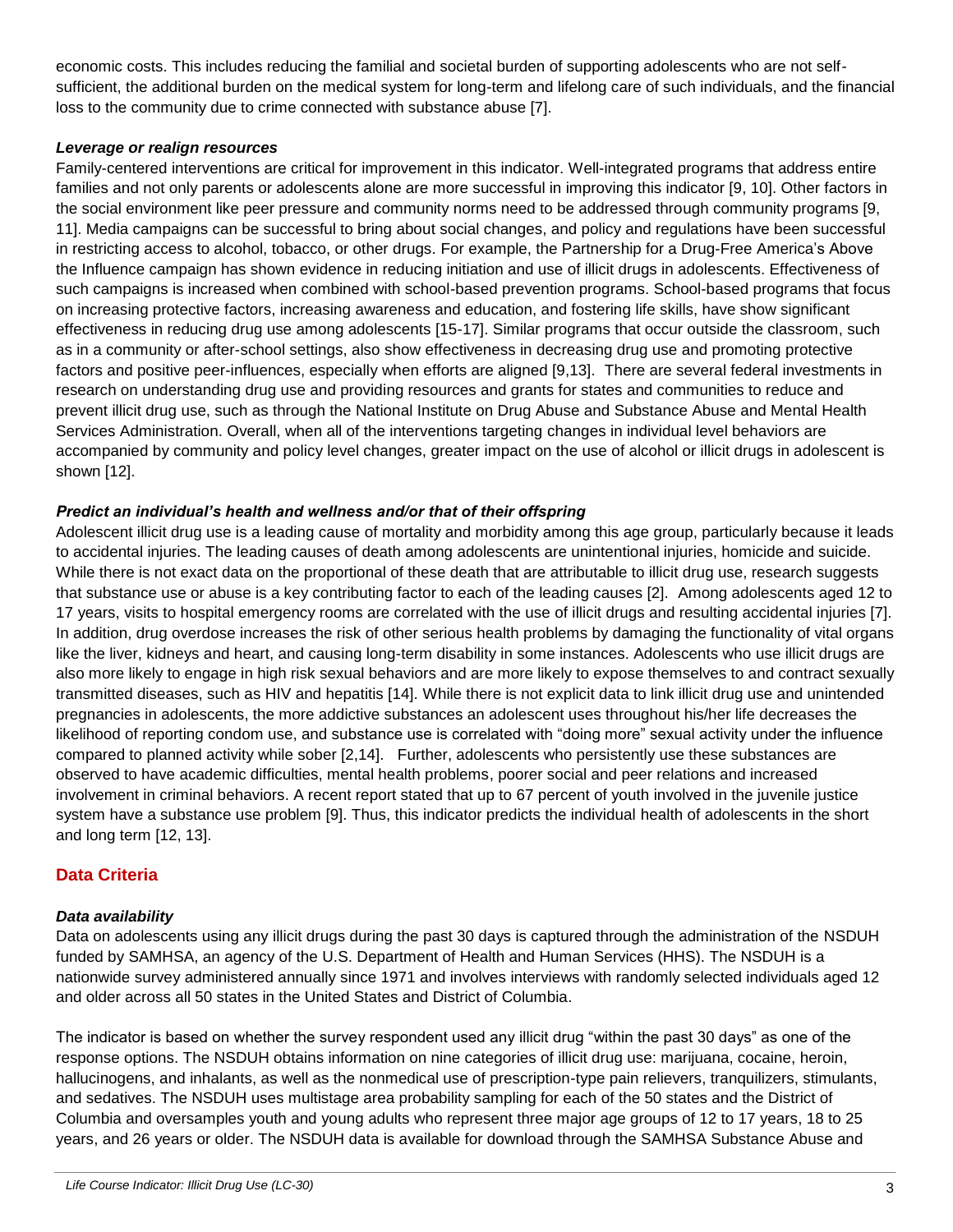economic costs. This includes reducing the familial and societal burden of supporting adolescents who are not selfsufficient, the additional burden on the medical system for long-term and lifelong care of such individuals, and the financial loss to the community due to crime connected with substance abuse [7].

#### *Leverage or realign resources*

Family-centered interventions are critical for improvement in this indicator. Well-integrated programs that address entire families and not only parents or adolescents alone are more successful in improving this indicator [9, 10]. Other factors in the social environment like peer pressure and community norms need to be addressed through community programs [9, 11]. Media campaigns can be successful to bring about social changes, and policy and regulations have been successful in restricting access to alcohol, tobacco, or other drugs. For example, the Partnership for a Drug-Free America's Above the Influence campaign has shown evidence in reducing initiation and use of illicit drugs in adolescents. Effectiveness of such campaigns is increased when combined with school-based prevention programs. School-based programs that focus on increasing protective factors, increasing awareness and education, and fostering life skills, have show significant effectiveness in reducing drug use among adolescents [15-17]. Similar programs that occur outside the classroom, such as in a community or after-school settings, also show effectiveness in decreasing drug use and promoting protective factors and positive peer-influences, especially when efforts are aligned [9,13]. There are several federal investments in research on understanding drug use and providing resources and grants for states and communities to reduce and prevent illicit drug use, such as through the National Institute on Drug Abuse and Substance Abuse and Mental Health Services Administration. Overall, when all of the interventions targeting changes in individual level behaviors are accompanied by community and policy level changes, greater impact on the use of alcohol or illicit drugs in adolescent is shown [12].

#### *Predict an individual's health and wellness and/or that of their offspring*

Adolescent illicit drug use is a leading cause of mortality and morbidity among this age group, particularly because it leads to accidental injuries. The leading causes of death among adolescents are unintentional injuries, homicide and suicide. While there is not exact data on the proportional of these death that are attributable to illicit drug use, research suggests that substance use or abuse is a key contributing factor to each of the leading causes [2]. Among adolescents aged 12 to 17 years, visits to hospital emergency rooms are correlated with the use of illicit drugs and resulting accidental injuries [7]. In addition, drug overdose increases the risk of other serious health problems by damaging the functionality of vital organs like the liver, kidneys and heart, and causing long-term disability in some instances. Adolescents who use illicit drugs are also more likely to engage in high risk sexual behaviors and are more likely to expose themselves to and contract sexually transmitted diseases, such as HIV and hepatitis [14]. While there is not explicit data to link illicit drug use and unintended pregnancies in adolescents, the more addictive substances an adolescent uses throughout his/her life decreases the likelihood of reporting condom use, and substance use is correlated with "doing more" sexual activity under the influence compared to planned activity while sober [2,14]. Further, adolescents who persistently use these substances are observed to have academic difficulties, mental health problems, poorer social and peer relations and increased involvement in criminal behaviors. A recent report stated that up to 67 percent of youth involved in the juvenile justice system have a substance use problem [9]. Thus, this indicator predicts the individual health of adolescents in the short and long term [12, 13].

### **Data Criteria**

#### *Data availability*

Data on adolescents using any illicit drugs during the past 30 days is captured through the administration of the NSDUH funded by SAMHSA, an agency of the U.S. Department of Health and Human Services (HHS). The NSDUH is a nationwide survey administered annually since 1971 and involves interviews with randomly selected individuals aged 12 and older across all 50 states in the United States and District of Columbia.

The indicator is based on whether the survey respondent used any illicit drug "within the past 30 days" as one of the response options. The NSDUH obtains information on nine categories of illicit drug use: marijuana, cocaine, heroin, hallucinogens, and inhalants, as well as the nonmedical use of prescription-type pain relievers, tranquilizers, stimulants, and sedatives. The NSDUH uses multistage area probability sampling for each of the 50 states and the District of Columbia and oversamples youth and young adults who represent three major age groups of 12 to 17 years, 18 to 25 years, and 26 years or older. The NSDUH data is available for download through the SAMHSA Substance Abuse and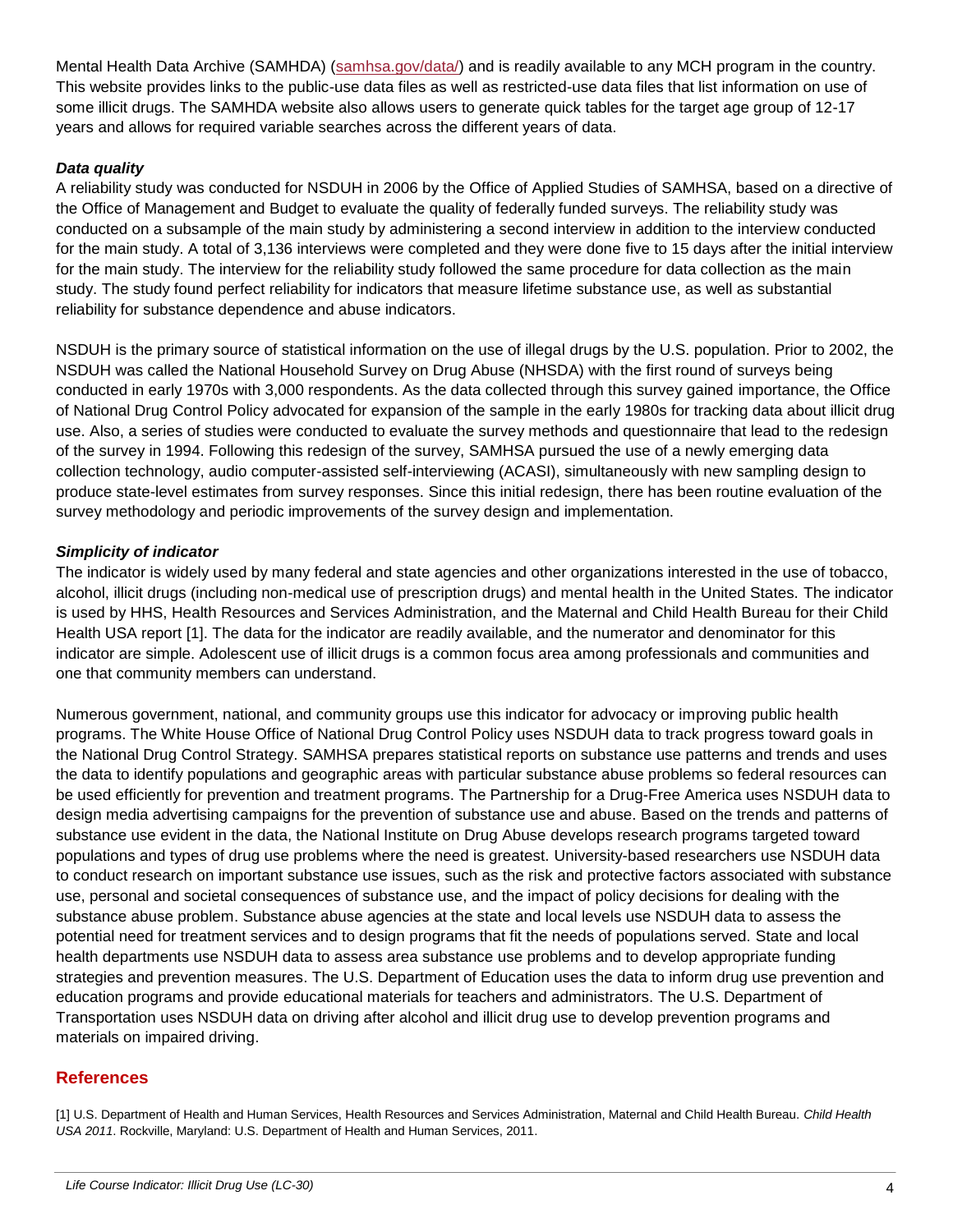Mental Health Data Archive (SAMHDA) [\(samhsa.gov/data/\)](http://www.samhsa.gov/data/) and is readily available to any MCH program in the country. This website provides links to the public-use data files as well as restricted-use data files that list information on use of some illicit drugs. The SAMHDA website also allows users to generate quick tables for the target age group of 12-17 years and allows for required variable searches across the different years of data.

#### *Data quality*

A reliability study was conducted for NSDUH in 2006 by the Office of Applied Studies of SAMHSA, based on a directive of the Office of Management and Budget to evaluate the quality of federally funded surveys. The reliability study was conducted on a subsample of the main study by administering a second interview in addition to the interview conducted for the main study. A total of 3,136 interviews were completed and they were done five to 15 days after the initial interview for the main study. The interview for the reliability study followed the same procedure for data collection as the main study. The study found perfect reliability for indicators that measure lifetime substance use, as well as substantial reliability for substance dependence and abuse indicators.

NSDUH is the primary source of statistical information on the use of illegal drugs by the U.S. population. Prior to 2002, the NSDUH was called the National Household Survey on Drug Abuse (NHSDA) with the first round of surveys being conducted in early 1970s with 3,000 respondents. As the data collected through this survey gained importance, the Office of National Drug Control Policy advocated for expansion of the sample in the early 1980s for tracking data about illicit drug use. Also, a series of studies were conducted to evaluate the survey methods and questionnaire that lead to the redesign of the survey in 1994. Following this redesign of the survey, SAMHSA pursued the use of a newly emerging data collection technology, audio computer-assisted self-interviewing (ACASI), simultaneously with new sampling design to produce state-level estimates from survey responses. Since this initial redesign, there has been routine evaluation of the survey methodology and periodic improvements of the survey design and implementation.

#### *Simplicity of indicator*

The indicator is widely used by many federal and state agencies and other organizations interested in the use of tobacco, alcohol, illicit drugs (including non-medical use of prescription drugs) and mental health in the United States. The indicator is used by HHS, Health Resources and Services Administration, and the Maternal and Child Health Bureau for their Child Health USA report [1]. The data for the indicator are readily available, and the numerator and denominator for this indicator are simple. Adolescent use of illicit drugs is a common focus area among professionals and communities and one that community members can understand.

Numerous government, national, and community groups use this indicator for advocacy or improving public health programs. The White House Office of National Drug Control Policy uses NSDUH data to track progress toward goals in the National Drug Control Strategy. SAMHSA prepares statistical reports on substance use patterns and trends and uses the data to identify populations and geographic areas with particular substance abuse problems so federal resources can be used efficiently for prevention and treatment programs. The Partnership for a Drug-Free America uses NSDUH data to design media advertising campaigns for the prevention of substance use and abuse. Based on the trends and patterns of substance use evident in the data, the National Institute on Drug Abuse develops research programs targeted toward populations and types of drug use problems where the need is greatest. University-based researchers use NSDUH data to conduct research on important substance use issues, such as the risk and protective factors associated with substance use, personal and societal consequences of substance use, and the impact of policy decisions for dealing with the substance abuse problem. Substance abuse agencies at the state and local levels use NSDUH data to assess the potential need for treatment services and to design programs that fit the needs of populations served. State and local health departments use NSDUH data to assess area substance use problems and to develop appropriate funding strategies and prevention measures. The U.S. Department of Education uses the data to inform drug use prevention and education programs and provide educational materials for teachers and administrators. The U.S. Department of Transportation uses NSDUH data on driving after alcohol and illicit drug use to develop prevention programs and materials on impaired driving.

# **References**

[1] U.S. Department of Health and Human Services, Health Resources and Services Administration, Maternal and Child Health Bureau. *Child Health USA 2011*. Rockville, Maryland: U.S. Department of Health and Human Services, 2011.